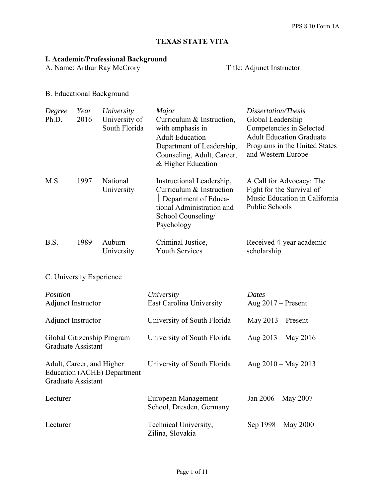# **TEXAS STATE VITA**

## **I. Academic/Professional Background**

A. Name: Arthur Ray McCrory Title: Adjunct Instructor

B. Educational Background

Graduate Assistant

| Degree<br>Ph.D.                                                 | Year<br>2016 | University<br>University of<br>South Florida | Major<br>Curriculum & Instruction,<br>with emphasis in<br><b>Adult Education</b><br>Department of Leadership,<br>Counseling, Adult, Career,<br>& Higher Education | Dissertation/Thesis<br>Global Leadership<br>Competencies in Selected<br><b>Adult Education Graduate</b><br>Programs in the United States<br>and Western Europe |
|-----------------------------------------------------------------|--------------|----------------------------------------------|-------------------------------------------------------------------------------------------------------------------------------------------------------------------|----------------------------------------------------------------------------------------------------------------------------------------------------------------|
| M.S.                                                            | 1997         | National<br>University                       | Instructional Leadership,<br>Curriculum & Instruction<br>Department of Educa-<br>tional Administration and<br>School Counseling/<br>Psychology                    | A Call for Advocacy: The<br>Fight for the Survival of<br>Music Education in California<br>Public Schools                                                       |
| B.S.                                                            | 1989         | Auburn<br>University                         | Criminal Justice,<br><b>Youth Services</b>                                                                                                                        | Received 4-year academic<br>scholarship                                                                                                                        |
| C. University Experience                                        |              |                                              |                                                                                                                                                                   |                                                                                                                                                                |
| Position<br><b>Adjunct Instructor</b>                           |              |                                              | University<br><b>East Carolina University</b>                                                                                                                     | <b>Dates</b><br>Aug $2017$ – Present                                                                                                                           |
| Adjunct Instructor                                              |              |                                              | University of South Florida                                                                                                                                       | May $2013$ – Present                                                                                                                                           |
| Global Citizenship Program<br><b>Graduate Assistant</b>         |              |                                              | University of South Florida                                                                                                                                       | Aug 2013 - May 2016                                                                                                                                            |
| Adult, Career, and Higher<br><b>Education (ACHE) Department</b> |              |                                              | University of South Florida                                                                                                                                       | Aug $2010 - May 2013$                                                                                                                                          |

| Lecturer | European Management<br>School, Dresden, Germany | Jan $2006 -$ May $2007$ |
|----------|-------------------------------------------------|-------------------------|
| Lecturer | Technical University,<br>Zilina, Slovakia       | Sep 1998 – May 2000     |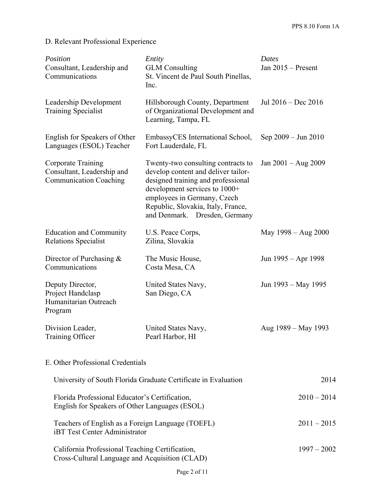# D. Relevant Professional Experience

| Position<br>Consultant, Leadership and<br>Communications                                          | Entity<br><b>GLM</b> Consulting<br>St. Vincent de Paul South Pinellas,<br>Inc.                                                                                                                                                                         | Dates<br>Jan 2015 - Present |
|---------------------------------------------------------------------------------------------------|--------------------------------------------------------------------------------------------------------------------------------------------------------------------------------------------------------------------------------------------------------|-----------------------------|
| Leadership Development<br><b>Training Specialist</b>                                              | Hillsborough County, Department<br>of Organizational Development and<br>Learning, Tampa, FL                                                                                                                                                            | Jul $2016 - Dec 2016$       |
| English for Speakers of Other<br>Languages (ESOL) Teacher                                         | EmbassyCES International School,<br>Fort Lauderdale, FL                                                                                                                                                                                                | Sep 2009 – Jun 2010         |
| Corporate Training<br>Consultant, Leadership and<br><b>Communication Coaching</b>                 | Twenty-two consulting contracts to<br>develop content and deliver tailor-<br>designed training and professional<br>development services to 1000+<br>employees in Germany, Czech<br>Republic, Slovakia, Italy, France,<br>and Denmark. Dresden, Germany | Jan 2001 - Aug 2009         |
| <b>Education and Community</b><br><b>Relations Specialist</b>                                     | U.S. Peace Corps,<br>Zilina, Slovakia                                                                                                                                                                                                                  | May 1998 – Aug 2000         |
| Director of Purchasing $&$<br>Communications                                                      | The Music House,<br>Costa Mesa, CA                                                                                                                                                                                                                     | Jun 1995 – Apr 1998         |
| Deputy Director,<br>Project Handclasp<br>Humanitarian Outreach<br>Program                         | United States Navy,<br>San Diego, CA                                                                                                                                                                                                                   | Jun 1993 – May 1995         |
| Division Leader,<br>Training Officer                                                              | United States Navy,<br>Pearl Harbor, HI                                                                                                                                                                                                                | Aug 1989 – May 1993         |
| E. Other Professional Credentials                                                                 |                                                                                                                                                                                                                                                        |                             |
|                                                                                                   | University of South Florida Graduate Certificate in Evaluation                                                                                                                                                                                         | 2014                        |
| Florida Professional Educator's Certification,<br>English for Speakers of Other Languages (ESOL)  |                                                                                                                                                                                                                                                        | $2010 - 2014$               |
| Teachers of English as a Foreign Language (TOEFL)<br><b>iBT</b> Test Center Administrator         |                                                                                                                                                                                                                                                        | $2011 - 2015$               |
| California Professional Teaching Certification,<br>Cross-Cultural Language and Acquisition (CLAD) |                                                                                                                                                                                                                                                        | $1997 - 2002$               |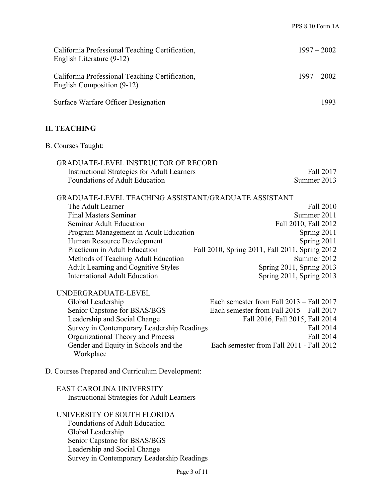| California Professional Teaching Certification,<br>English Literature (9-12)  | $1997 - 2002$ |
|-------------------------------------------------------------------------------|---------------|
| California Professional Teaching Certification,<br>English Composition (9-12) | $1997 - 2002$ |
| Surface Warfare Officer Designation                                           | 1993          |

## **II. TEACHING**

B. Courses Taught:

| <b>GRADUATE-LEVEL INSTRUCTOR OF RECORD</b>         |             |
|----------------------------------------------------|-------------|
| <b>Instructional Strategies for Adult Learners</b> | Fall 2017   |
| Foundations of Adult Education                     | Summer 2013 |

| GRADUATE-LEVEL TEACHING ASSISTANT/GRADUATE ASSISTANT |                                                |
|------------------------------------------------------|------------------------------------------------|
| The Adult Learner                                    | Fall 2010                                      |
| Final Masters Seminar                                | Summer 2011                                    |
| <b>Seminar Adult Education</b>                       | Fall 2010, Fall 2012                           |
| Program Management in Adult Education                | Spring 2011                                    |
| Human Resource Development                           | Spring 2011                                    |
| Practicum in Adult Education                         | Fall 2010, Spring 2011, Fall 2011, Spring 2012 |
| Methods of Teaching Adult Education                  | Summer 2012                                    |
| Adult Learning and Cognitive Styles                  | Spring 2011, Spring 2013                       |
| <b>International Adult Education</b>                 | Spring 2011, Spring 2013                       |
| UNDERGRADUATE-LEVEL                                  |                                                |
| Global Leadership                                    | Each semester from Fall $2013 -$ Fall $2017$   |
| Senior Capstone for BSAS/BGS                         | Each semester from Fall 2015 – Fall 2017       |
| Leadership and Social Change                         | Fall 2016, Fall 2015, Fall 2014                |
| Survey in Contemporary Leadership Readings           | Fall 2014                                      |
| Organizational Theory and Process                    | Fall 2014                                      |
| Gender and Equity in Schools and the<br>Workplace    | Each semester from Fall 2011 - Fall 2012       |
|                                                      |                                                |

### D. Courses Prepared and Curriculum Development:

## EAST CAROLINA UNIVERSITY Instructional Strategies for Adult Learners

# UNIVERSITY OF SOUTH FLORIDA

Foundations of Adult Education Global Leadership Senior Capstone for BSAS/BGS Leadership and Social Change Survey in Contemporary Leadership Readings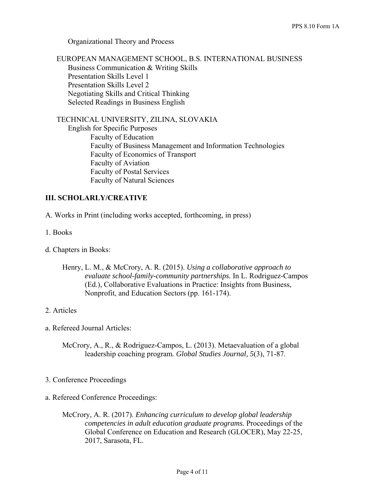Organizational Theory and Process

 EUROPEAN MANAGEMENT SCHOOL, B.S. INTERNATIONAL BUSINESS Business Communication & Writing Skills Presentation Skills Level 1 Presentation Skills Level 2 Negotiating Skills and Critical Thinking Selected Readings in Business English

TECHNICAL UNIVERSITY, ZILINA, SLOVAKIA

 English for Specific Purposes Faculty of Education Faculty of Business Management and Information Technologies Faculty of Economics of Transport Faculty of Aviation Faculty of Postal Services Faculty of Natural Sciences

### **III. SCHOLARLY/CREATIVE**

A. Works in Print (including works accepted, forthcoming, in press)

- 1. Books
- d. Chapters in Books:
	- Henry, L. M., & McCrory, A. R. (2015). *Using a collaborative approach to evaluate school-family-community partnerships.* In L. Rodriguez-Campos (Ed.), Collaborative Evaluations in Practice: Insights from Business, Nonprofit, and Education Sectors (pp. 161-174).

#### 2. Articles

- a. Refereed Journal Articles:
	- McCrory, A., R., & Rodriguez-Campos, L. (2013). Metaevaluation of a global leadership coaching program*. Global Studies Journal, 5*(3), 71-87.

#### 3. Conference Proceedings

- a. Refereed Conference Proceedings:
	- McCrory, A. R. (2017). *Enhancing curriculum to develop global leadership competencies in adult education graduate programs.* Proceedings of the Global Conference on Education and Research (GLOCER), May 22-25, 2017, Sarasota, FL.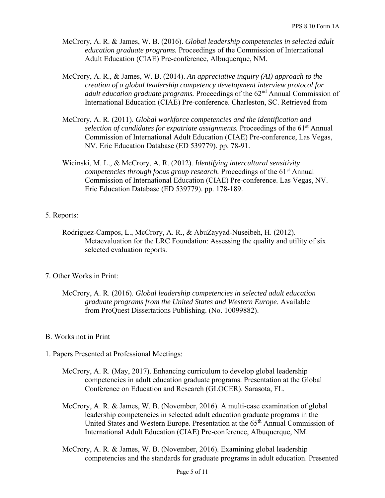- McCrory, A. R. & James, W. B. (2016). *Global leadership competencies in selected adult education graduate programs.* Proceedings of the Commission of International Adult Education (CIAE) Pre-conference, Albuquerque, NM.
- McCrory, A. R., & James, W. B. (2014). *An appreciative inquiry (AI) approach to the creation of a global leadership competency development interview protocol for adult education graduate programs.* Proceedings of the 62<sup>nd</sup> Annual Commission of International Education (CIAE) Pre-conference. Charleston, SC. Retrieved from
- McCrory, A. R. (2011). *Global workforce competencies and the identification and selection of candidates for expatriate assignments.* Proceedings of the 61<sup>st</sup> Annual Commission of International Adult Education (CIAE) Pre-conference, Las Vegas, NV. Eric Education Database (ED 539779). pp. 78-91.
- Wicinski, M. L., & McCrory, A. R. (2012). *Identifying intercultural sensitivity competencies through focus group research.* Proceedings of the 61<sup>st</sup> Annual Commission of International Education (CIAE) Pre-conference. Las Vegas, NV. Eric Education Database (ED 539779). pp. 178-189.

#### 5. Reports:

- Rodriguez-Campos, L., McCrory, A. R., & AbuZayyad-Nuseibeh, H. (2012). Metaevaluation for the LRC Foundation: Assessing the quality and utility of six selected evaluation reports.
- 7. Other Works in Print:
	- McCrory, A. R. (2016). *Global leadership competencies in selected adult education graduate programs from the United States and Western Europe*. Available from ProQuest Dissertations Publishing. (No. 10099882).

#### B. Works not in Print

- 1. Papers Presented at Professional Meetings:
	- McCrory, A. R. (May, 2017). Enhancing curriculum to develop global leadership competencies in adult education graduate programs. Presentation at the Global Conference on Education and Research (GLOCER). Sarasota, FL.
	- McCrory, A. R. & James, W. B. (November, 2016). A multi-case examination of global leadership competencies in selected adult education graduate programs in the United States and Western Europe. Presentation at the 65<sup>th</sup> Annual Commission of International Adult Education (CIAE) Pre-conference, Albuquerque, NM.
	- McCrory, A. R. & James, W. B. (November, 2016). Examining global leadership competencies and the standards for graduate programs in adult education. Presented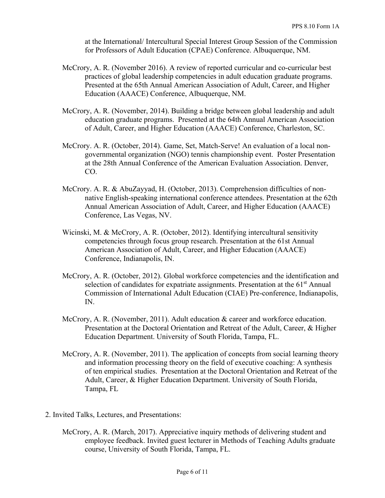at the International/ Intercultural Special Interest Group Session of the Commission for Professors of Adult Education (CPAE) Conference. Albuquerque, NM.

- McCrory, A. R. (November 2016). A review of reported curricular and co-curricular best practices of global leadership competencies in adult education graduate programs. Presented at the 65th Annual American Association of Adult, Career, and Higher Education (AAACE) Conference, Albuquerque, NM.
- McCrory, A. R. (November, 2014). Building a bridge between global leadership and adult education graduate programs. Presented at the 64th Annual American Association of Adult, Career, and Higher Education (AAACE) Conference, Charleston, SC.
- McCrory. A. R. (October, 2014). Game, Set, Match-Serve! An evaluation of a local nongovernmental organization (NGO) tennis championship event. Poster Presentation at the 28th Annual Conference of the American Evaluation Association. Denver, CO.
- McCrory. A. R. & AbuZayyad, H. (October, 2013). Comprehension difficulties of nonnative English-speaking international conference attendees. Presentation at the 62th Annual American Association of Adult, Career, and Higher Education (AAACE) Conference, Las Vegas, NV.
- Wicinski, M. & McCrory, A. R. (October, 2012). Identifying intercultural sensitivity competencies through focus group research. Presentation at the 61st Annual American Association of Adult, Career, and Higher Education (AAACE) Conference, Indianapolis, IN.
- McCrory, A. R. (October, 2012). Global workforce competencies and the identification and selection of candidates for expatriate assignments. Presentation at the  $61<sup>st</sup>$  Annual Commission of International Adult Education (CIAE) Pre-conference, Indianapolis, IN.
- McCrory, A. R. (November, 2011). Adult education & career and workforce education. Presentation at the Doctoral Orientation and Retreat of the Adult, Career, & Higher Education Department. University of South Florida, Tampa, FL.
- McCrory, A. R. (November, 2011). The application of concepts from social learning theory and information processing theory on the field of executive coaching: A synthesis of ten empirical studies. Presentation at the Doctoral Orientation and Retreat of the Adult, Career, & Higher Education Department. University of South Florida, Tampa, FL
- 2. Invited Talks, Lectures, and Presentations:
	- McCrory, A. R. (March, 2017). Appreciative inquiry methods of delivering student and employee feedback. Invited guest lecturer in Methods of Teaching Adults graduate course, University of South Florida, Tampa, FL.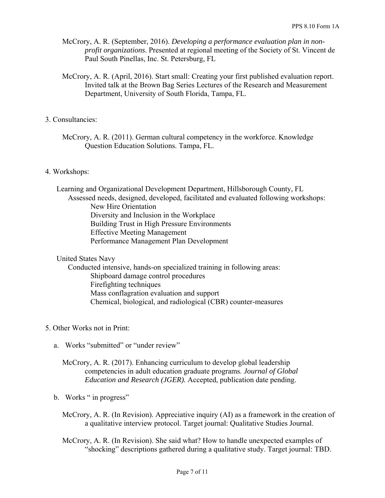- McCrory, A. R. (September, 2016). *Developing a performance evaluation plan in nonprofit organizations*. Presented at regional meeting of the Society of St. Vincent de Paul South Pinellas, Inc. St. Petersburg, FL
- McCrory, A. R. (April, 2016). Start small: Creating your first published evaluation report. Invited talk at the Brown Bag Series Lectures of the Research and Measurement Department, University of South Florida, Tampa, FL.

#### 3. Consultancies:

McCrory, A. R. (2011). German cultural competency in the workforce. Knowledge Question Education Solutions. Tampa, FL.

#### 4. Workshops:

Learning and Organizational Development Department, Hillsborough County, FL Assessed needs, designed, developed, facilitated and evaluated following workshops: New Hire Orientation Diversity and Inclusion in the Workplace Building Trust in High Pressure Environments Effective Meeting Management Performance Management Plan Development

#### United States Navy

 Conducted intensive, hands-on specialized training in following areas: Shipboard damage control procedures Firefighting techniques Mass conflagration evaluation and support Chemical, biological, and radiological (CBR) counter-measures

#### 5. Other Works not in Print:

a. Works "submitted" or "under review"

McCrory, A. R. (2017). Enhancing curriculum to develop global leadership competencies in adult education graduate programs. *Journal of Global Education and Research (JGER).* Accepted, publication date pending.

#### b. Works " in progress"

- McCrory, A. R. (In Revision). Appreciative inquiry (AI) as a framework in the creation of a qualitative interview protocol. Target journal: Qualitative Studies Journal.
- McCrory, A. R. (In Revision). She said what? How to handle unexpected examples of "shocking" descriptions gathered during a qualitative study. Target journal: TBD.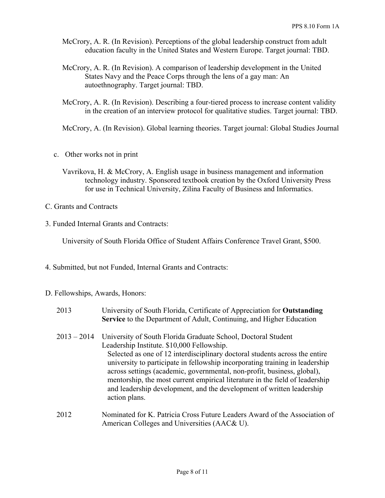- McCrory, A. R. (In Revision). Perceptions of the global leadership construct from adult education faculty in the United States and Western Europe. Target journal: TBD.
- McCrory, A. R. (In Revision). A comparison of leadership development in the United States Navy and the Peace Corps through the lens of a gay man: An autoethnography. Target journal: TBD.
- McCrory, A. R. (In Revision). Describing a four-tiered process to increase content validity in the creation of an interview protocol for qualitative studies. Target journal: TBD.

McCrory, A. (In Revision). Global learning theories. Target journal: Global Studies Journal

- c. Other works not in print
	- Vavrikova, H. & McCrory, A. English usage in business management and information technology industry. Sponsored textbook creation by the Oxford University Press for use in Technical University, Zilina Faculty of Business and Informatics.
- C. Grants and Contracts
- 3. Funded Internal Grants and Contracts:

University of South Florida Office of Student Affairs Conference Travel Grant, \$500.

- 4. Submitted, but not Funded, Internal Grants and Contracts:
- D. Fellowships, Awards, Honors:

| 2013          | University of South Florida, Certificate of Appreciation for Outstanding<br>Service to the Department of Adult, Continuing, and Higher Education                                                                                                                                                                                                                                                                                                                                                                                |
|---------------|---------------------------------------------------------------------------------------------------------------------------------------------------------------------------------------------------------------------------------------------------------------------------------------------------------------------------------------------------------------------------------------------------------------------------------------------------------------------------------------------------------------------------------|
| $2013 - 2014$ | University of South Florida Graduate School, Doctoral Student<br>Leadership Institute. \$10,000 Fellowship.<br>Selected as one of 12 interdisciplinary doctoral students across the entire<br>university to participate in fellowship incorporating training in leadership<br>across settings (academic, governmental, non-profit, business, global),<br>mentorship, the most current empirical literature in the field of leadership<br>and leadership development, and the development of written leadership<br>action plans. |
| 2012          | Nominated for K. Patricia Cross Future Leaders Award of the Association of<br>American Colleges and Universities (AAC& U).                                                                                                                                                                                                                                                                                                                                                                                                      |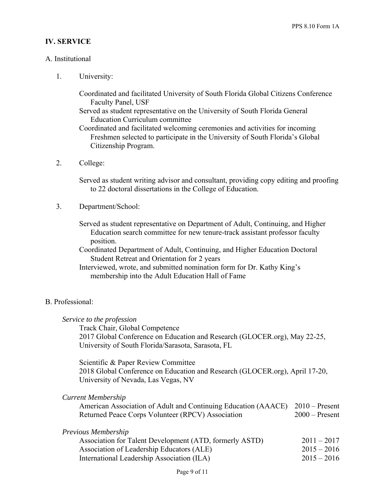#### **IV. SERVICE**

#### A. Institutional

1. University:

Coordinated and facilitated University of South Florida Global Citizens Conference Faculty Panel, USF

Served as student representative on the University of South Florida General Education Curriculum committee

Coordinated and facilitated welcoming ceremonies and activities for incoming Freshmen selected to participate in the University of South Florida's Global Citizenship Program.

2. College:

Served as student writing advisor and consultant, providing copy editing and proofing to 22 doctoral dissertations in the College of Education.

3. Department/School:

Served as student representative on Department of Adult, Continuing, and Higher Education search committee for new tenure-track assistant professor faculty position.

- Coordinated Department of Adult, Continuing, and Higher Education Doctoral Student Retreat and Orientation for 2 years
- Interviewed, wrote, and submitted nomination form for Dr. Kathy King's membership into the Adult Education Hall of Fame

#### B. Professional:

# *Service to the profession*  Track Chair, Global Competence 2017 Global Conference on Education and Research (GLOCER.org), May 22-25, University of South Florida/Sarasota, Sarasota, FL Scientific & Paper Review Committee

2018 Global Conference on Education and Research (GLOCER.org), April 17-20, University of Nevada, Las Vegas, NV

| American Association of Adult and Continuing Education (AAACE) 2010 – Present |                  |
|-------------------------------------------------------------------------------|------------------|
| Returned Peace Corps Volunteer (RPCV) Association                             | $2000$ – Present |

|  |  | Previous Membership |
|--|--|---------------------|
|--|--|---------------------|

| Association for Talent Development (ATD, formerly ASTD) | $2011 - 2017$ |
|---------------------------------------------------------|---------------|
| Association of Leadership Educators (ALE)               | $2015 - 2016$ |
| International Leadership Association (ILA)              | $2015 - 2016$ |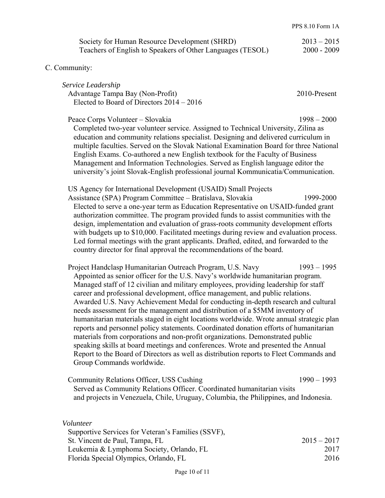| Society for Human Resource Development (SHRD)              | $2013 - 2015$ |
|------------------------------------------------------------|---------------|
| Teachers of English to Speakers of Other Languages (TESOL) | $2000 - 2009$ |

#### C. Community:

*Service Leadership*  Advantage Tampa Bay (Non-Profit) 2010-Present Elected to Board of Directors 2014 – 2016

Peace Corps Volunteer – Slovakia 1998 – 2000 Completed two-year volunteer service. Assigned to Technical University, Zilina as education and community relations specialist. Designing and delivered curriculum in multiple faculties. Served on the Slovak National Examination Board for three National English Exams. Co-authored a new English textbook for the Faculty of Business Management and Information Technologies. Served as English language editor the university's joint Slovak-English professional journal Kommunicatia/Communication.

US Agency for International Development (USAID) Small Projects

Assistance (SPA) Program Committee – Bratislava, Slovakia 1999-2000 Elected to serve a one-year term as Education Representative on USAID-funded grant authorization committee. The program provided funds to assist communities with the design, implementation and evaluation of grass-roots community development efforts with budgets up to \$10,000. Facilitated meetings during review and evaluation process. Led formal meetings with the grant applicants. Drafted, edited, and forwarded to the country director for final approval the recommendations of the board.

Project Handclasp Humanitarian Outreach Program, U.S. Navy 1993 – 1995 Appointed as senior officer for the U.S. Navy's worldwide humanitarian program. Managed staff of 12 civilian and military employees, providing leadership for staff career and professional development, office management, and public relations. Awarded U.S. Navy Achievement Medal for conducting in-depth research and cultural needs assessment for the management and distribution of a \$5MM inventory of humanitarian materials staged in eight locations worldwide. Wrote annual strategic plan reports and personnel policy statements. Coordinated donation efforts of humanitarian materials from corporations and non-profit organizations. Demonstrated public speaking skills at board meetings and conferences. Wrote and presented the Annual Report to the Board of Directors as well as distribution reports to Fleet Commands and Group Commands worldwide.

Community Relations Officer, USS Cushing 1990 – 1993 Served as Community Relations Officer. Coordinated humanitarian visits and projects in Venezuela, Chile, Uruguay, Columbia, the Philippines, and Indonesia.

| Volunteer                                          |               |
|----------------------------------------------------|---------------|
| Supportive Services for Veteran's Families (SSVF), |               |
| St. Vincent de Paul, Tampa, FL                     | $2015 - 2017$ |
| Leukemia & Lymphoma Society, Orlando, FL           | 2017          |
| Florida Special Olympics, Orlando, FL              | 2016          |